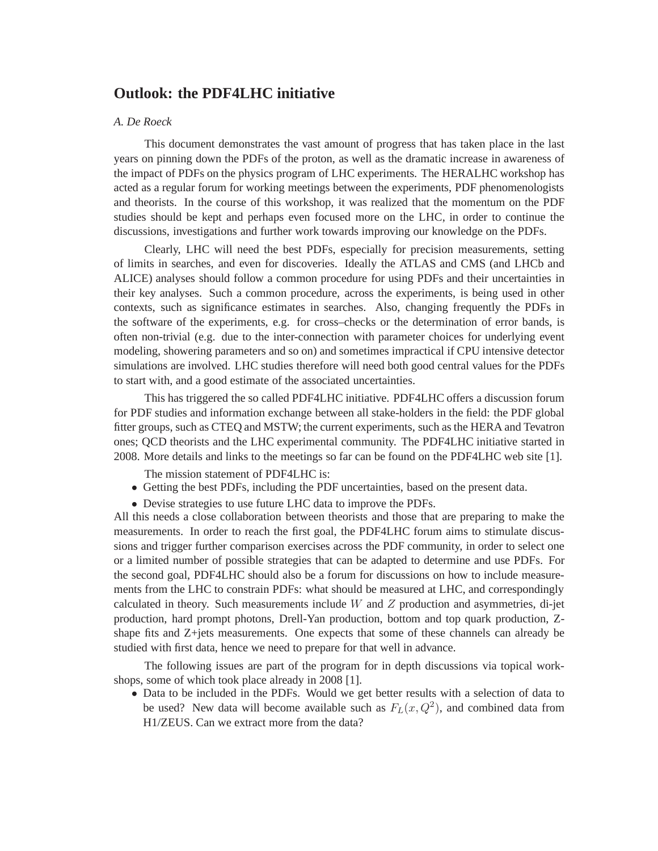## **Outlook: the PDF4LHC initiative**

## *A. De Roeck*

This document demonstrates the vast amount of progress that has taken place in the last years on pinning down the PDFs of the proton, as well as the dramatic increase in awareness of the impact of PDFs on the physics program of LHC experiments. The HERALHC workshop has acted as a regular forum for working meetings between the experiments, PDF phenomenologists and theorists. In the course of this workshop, it was realized that the momentum on the PDF studies should be kept and perhaps even focused more on the LHC, in order to continue the discussions, investigations and further work towards improving our knowledge on the PDFs.

Clearly, LHC will need the best PDFs, especially for precision measurements, setting of limits in searches, and even for discoveries. Ideally the ATLAS and CMS (and LHCb and ALICE) analyses should follow a common procedure for using PDFs and their uncertainties in their key analyses. Such a common procedure, across the experiments, is being used in other contexts, such as significance estimates in searches. Also, changing frequently the PDFs in the software of the experiments, e.g. for cross–checks or the determination of error bands, is often non-trivial (e.g. due to the inter-connection with parameter choices for underlying event modeling, showering parameters and so on) and sometimes impractical if CPU intensive detector simulations are involved. LHC studies therefore will need both good central values for the PDFs to start with, and a good estimate of the associated uncertainties.

This has triggered the so called PDF4LHC initiative. PDF4LHC offers a discussion forum for PDF studies and information exchange between all stake-holders in the field: the PDF global fitter groups, such as CTEQ and MSTW; the current experiments, such as the HERA and Tevatron ones; QCD theorists and the LHC experimental community. The PDF4LHC initiative started in 2008. More details and links to the meetings so far can be found on the PDF4LHC web site [1].

The mission statement of PDF4LHC is:

- Getting the best PDFs, including the PDF uncertainties, based on the present data.
- Devise strategies to use future LHC data to improve the PDFs.

All this needs a close collaboration between theorists and those that are preparing to make the measurements. In order to reach the first goal, the PDF4LHC forum aims to stimulate discussions and trigger further comparison exercises across the PDF community, in order to select one or a limited number of possible strategies that can be adapted to determine and use PDFs. For the second goal, PDF4LHC should also be a forum for discussions on how to include measurements from the LHC to constrain PDFs: what should be measured at LHC, and correspondingly calculated in theory. Such measurements include  $W$  and  $Z$  production and asymmetries, di-jet production, hard prompt photons, Drell-Yan production, bottom and top quark production, Zshape fits and Z+jets measurements. One expects that some of these channels can already be studied with first data, hence we need to prepare for that well in advance.

The following issues are part of the program for in depth discussions via topical workshops, some of which took place already in 2008 [1].

• Data to be included in the PDFs. Would we get better results with a selection of data to be used? New data will become available such as  $F<sub>L</sub>(x, Q<sup>2</sup>)$ , and combined data from H1/ZEUS. Can we extract more from the data?